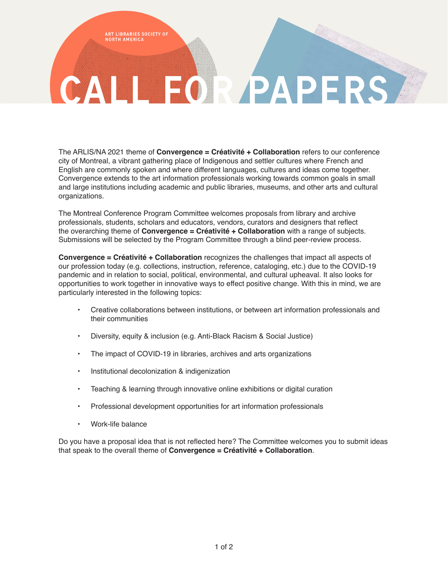ART LIBRARIES SOCIETY OF<br>NORTH AMERICA

# CALL FOR PAPER

The ARLIS/NA 2021 theme of **Convergence = Créativité + Collaboration** refers to our conference city of Montreal, a vibrant gathering place of Indigenous and settler cultures where French and English are commonly spoken and where different languages, cultures and ideas come together. Convergence extends to the art information professionals working towards common goals in small and large institutions including academic and public libraries, museums, and other arts and cultural organizations.

The Montreal Conference Program Committee welcomes proposals from library and archive professionals, students, scholars and educators, vendors, curators and designers that reflect the overarching theme of **Convergence = Créativité + Collaboration** with a range of subjects. Submissions will be selected by the Program Committee through a blind peer-review process.

**Convergence = Créativité + Collaboration** recognizes the challenges that impact all aspects of our profession today (e.g. collections, instruction, reference, cataloging, etc.) due to the COVID-19 pandemic and in relation to social, political, environmental, and cultural upheaval. It also looks for opportunities to work together in innovative ways to effect positive change. With this in mind, we are particularly interested in the following topics:

- Creative collaborations between institutions, or between art information professionals and their communities
- Diversity, equity & inclusion (e.g. Anti-Black Racism & Social Justice)
- The impact of COVID-19 in libraries, archives and arts organizations
- Institutional decolonization & indigenization
- Teaching & learning through innovative online exhibitions or digital curation
- Professional development opportunities for art information professionals
- Work-life balance

Do you have a proposal idea that is not reflected here? The Committee welcomes you to submit ideas that speak to the overall theme of **Convergence = Créativité + Collaboration**.